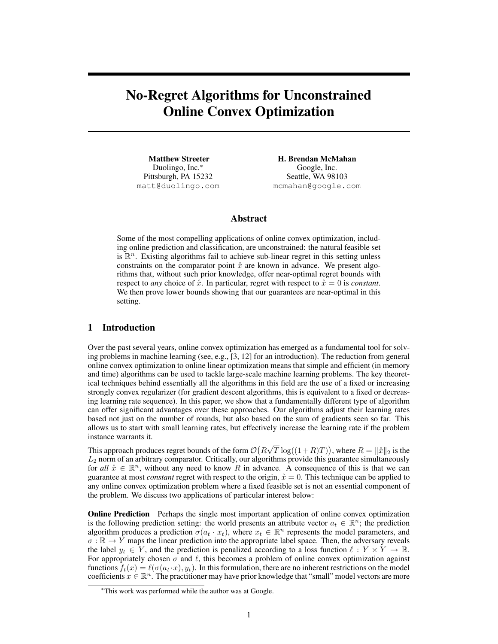# No-Regret Algorithms for Unconstrained Online Convex Optimization

Matthew Streeter Duolingo, Inc.<sup>∗</sup> Pittsburgh, PA 15232 matt@duolingo.com

H. Brendan McMahan Google, Inc. Seattle, WA 98103 mcmahan@google.com

## Abstract

Some of the most compelling applications of online convex optimization, including online prediction and classification, are unconstrained: the natural feasible set is  $\mathbb{R}^n$ . Existing algorithms fail to achieve sub-linear regret in this setting unless constraints on the comparator point  $\hat{x}$  are known in advance. We present algorithms that, without such prior knowledge, offer near-optimal regret bounds with respect to *any* choice of  $\hat{x}$ . In particular, regret with respect to  $\hat{x} = 0$  is *constant*. We then prove lower bounds showing that our guarantees are near-optimal in this setting.

## 1 Introduction

Over the past several years, online convex optimization has emerged as a fundamental tool for solving problems in machine learning (see, e.g., [3, 12] for an introduction). The reduction from general online convex optimization to online linear optimization means that simple and efficient (in memory and time) algorithms can be used to tackle large-scale machine learning problems. The key theoretical techniques behind essentially all the algorithms in this field are the use of a fixed or increasing strongly convex regularizer (for gradient descent algorithms, this is equivalent to a fixed or decreasing learning rate sequence). In this paper, we show that a fundamentally different type of algorithm can offer significant advantages over these approaches. Our algorithms adjust their learning rates based not just on the number of rounds, but also based on the sum of gradients seen so far. This allows us to start with small learning rates, but effectively increase the learning rate if the problem instance warrants it.

This approach produces regret bounds of the form  $\mathcal{O}(R)$ √  $\overline{T} \log((1+R)T)$ ), where  $R = ||\mathring{x}||_2$  is the  $L_2$  norm of an arbitrary comparator. Critically, our algorithms provide this guarantee simultaneously for all  $\mathring{x} \in \mathbb{R}^n$ , without any need to know R in advance. A consequence of this is that we can guarantee at most *constant* regret with respect to the origin,  $\dot{x} = 0$ . This technique can be applied to any online convex optimization problem where a fixed feasible set is not an essential component of the problem. We discuss two applications of particular interest below:

**Online Prediction** Perhaps the single most important application of online convex optimization is the following prediction setting: the world presents an attribute vector  $a_t \in \mathbb{R}^n$ ; the prediction algorithm produces a prediction  $\sigma(a_t \cdot x_t)$ , where  $x_t \in \mathbb{R}^n$  represents the model parameters, and  $\sigma : \mathbb{R} \to Y$  maps the linear prediction into the appropriate label space. Then, the adversary reveals the label  $y_t \in Y$ , and the prediction is penalized according to a loss function  $\ell : Y \times Y \to \mathbb{R}$ . For appropriately chosen  $\sigma$  and  $\ell$ , this becomes a problem of online convex optimization against functions  $f_t(x) = \ell(\sigma(a_t \cdot x), y_t)$ . In this formulation, there are no inherent restrictions on the model coefficients  $x \in \mathbb{R}^n$ . The practitioner may have prior knowledge that "small" model vectors are more

<sup>∗</sup>This work was performed while the author was at Google.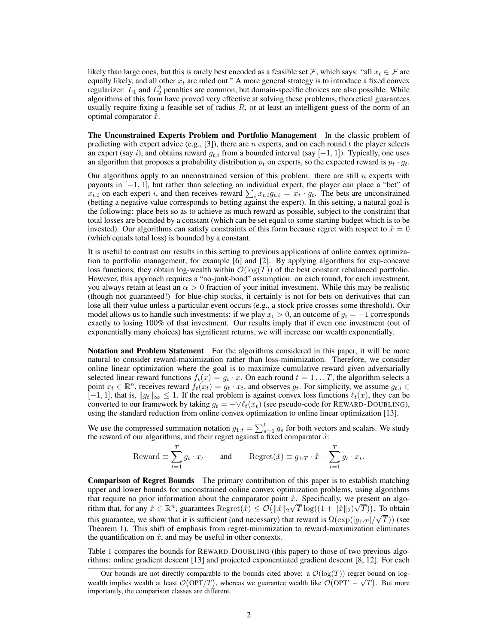likely than large ones, but this is rarely best encoded as a feasible set F, which says: "all  $x_t \in \mathcal{F}$  are equally likely, and all other  $x_t$  are ruled out." A more general strategy is to introduce a fixed convex regularizer:  $L_1$  and  $L_2^2$  penalties are common, but domain-specific choices are also possible. While algorithms of this form have proved very effective at solving these problems, theoretical guarantees usually require fixing a feasible set of radius  $R$ , or at least an intelligent guess of the norm of an optimal comparator  $\dot{x}$ .

The Unconstrained Experts Problem and Portfolio Management In the classic problem of predicting with expert advice (e.g., [3]), there are  $n$  experts, and on each round  $t$  the player selects an expert (say i), and obtains reward  $q_{t,i}$  from a bounded interval (say [-1, 1]). Typically, one uses an algorithm that proposes a probability distribution  $p_t$  on experts, so the expected reward is  $p_t \cdot q_t$ .

Our algorithms apply to an unconstrained version of this problem: there are still  $n$  experts with payouts in [−1, 1], but rather than selecting an individual expert, the player can place a "bet" of  $x_{t,i}$  on each expert *i*, and then receives reward  $\sum_i x_{t,i} g_{t,i} = x_t \cdot g_t$ . The bets are unconstrained (betting a negative value corresponds to betting against the expert). In this setting, a natural goal is the following: place bets so as to achieve as much reward as possible, subject to the constraint that total losses are bounded by a constant (which can be set equal to some starting budget which is to be invested). Our algorithms can satisfy constraints of this form because regret with respect to  $\dot{x} = 0$ (which equals total loss) is bounded by a constant.

It is useful to contrast our results in this setting to previous applications of online convex optimization to portfolio management, for example [6] and [2]. By applying algorithms for exp-concave loss functions, they obtain log-wealth within  $\mathcal{O}(\log(T))$  of the best constant rebalanced portfolio. However, this approach requires a "no-junk-bond" assumption: on each round, for each investment, you always retain at least an  $\alpha > 0$  fraction of your initial investment. While this may be realistic (though not guaranteed!) for blue-chip stocks, it certainly is not for bets on derivatives that can lose all their value unless a particular event occurs (e.g., a stock price crosses some threshold). Our model allows us to handle such investments: if we play  $x_i > 0$ , an outcome of  $g_i = -1$  corresponds exactly to losing 100% of that investment. Our results imply that if even one investment (out of exponentially many choices) has significant returns, we will increase our wealth exponentially.

Notation and Problem Statement For the algorithms considered in this paper, it will be more natural to consider reward-maximization rather than loss-minimization. Therefore, we consider online linear optimization where the goal is to maximize cumulative reward given adversarially selected linear reward functions  $f_t(x) = g_t \cdot x$ . On each round  $t = 1 \dots T$ , the algorithm selects a point  $x_t \in \mathbb{R}^n$ , receives reward  $f_t(x_t) = g_t \cdot x_t$ , and observes  $g_t$ . For simplicity, we assume  $g_{t,i} \in$  $[-1, 1]$ , that is,  $||g_t||_{\infty} \le 1$ . If the real problem is against convex loss functions  $\ell_t(x)$ , they can be converted to our framework by taking  $g_t = -\nabla \ell_t(x_t)$  (see pseudo-code for REWARD-DOUBLING), using the standard reduction from online convex optimization to online linear optimization [13].

We use the compressed summation notation  $g_{1:t} = \sum_{s=1}^{t} g_s$  for both vectors and scalars. We study the reward of our algorithms, and their regret against a fixed comparator  $\hat{x}$ :

$$
\text{Reward} \equiv \sum_{t=1}^{T} g_t \cdot x_t \quad \text{and} \quad \text{Regret}(\mathring{x}) \equiv g_{1:T} \cdot \mathring{x} - \sum_{t=1}^{T} g_t \cdot x_t.
$$

Comparison of Regret Bounds The primary contribution of this paper is to establish matching upper and lower bounds for unconstrained online convex optimization problems, using algorithms that require no prior information about the comparator point  $\hat{x}$ . Specifically, we present an algorithm that, for any  $\mathring{x} \in \mathbb{R}^n$ , guarantees  $\text{Regret}(\mathring{x}) \leq \mathcal{O}(|\mathring{x}||_2\sqrt{T}\log((1+||\mathring{x}||_2)\sqrt{T}))$ . To obtain this guarantee, we show that it is sufficient (and necessary) that reward is  $\Omega(\exp(|g_{1:T}|/\sqrt{T}))$  (see Theorem 1). This shift of emphasis from regret-minimization to reward-maximization eliminates the quantification on  $\dot{x}$ , and may be useful in other contexts.

Table 1 compares the bounds for REWARD-DOUBLING (this paper) to those of two previous algorithms: online gradient descent [13] and projected exponentiated gradient descent [8, 12]. For each

Our bounds are not directly comparable to the bounds cited above: a  $\mathcal{O}(\log(T))$  regret bound on logwealth implies wealth at least  $\mathcal{O}(OPT/T)$ , whereas we guarantee wealth like  $\mathcal{O}(OPT - \sqrt{T})$ . But more importantly, the comparison classes are different.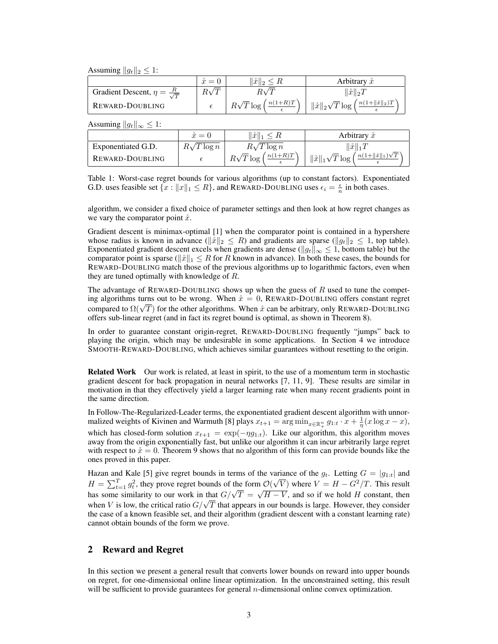Assuming  $||g_t||_2 \leq 1$ :

|                                               | — | $\ \mathring{x}\ _2$         | Arbitrary $\check{x}$                                                     |
|-----------------------------------------------|---|------------------------------|---------------------------------------------------------------------------|
| Gradient Descent, $\eta = \frac{R}{\sqrt{T}}$ |   |                              | $\ \mathring{x}\ _2T$                                                     |
| REWARD-DOUBLING                               |   | $n(1+R)T$<br>$R\sqrt{T}\log$ | ' $\ \hat{x}\ _2\sqrt{T}\log\left(\frac{n(1+\ \hat{x}\ _2)T}{2}\right)$ . |

Assuming  $||g_t||_{\infty} \leq 1$ :

|                    | $\mathring{x}=0$  | $\ \mathring{x}\ _1 \leq R$                          | Arbitrary $\ddot{x}$                                                                  |
|--------------------|-------------------|------------------------------------------------------|---------------------------------------------------------------------------------------|
| Exponentiated G.D. | $R\sqrt{T}\log n$ | $R\sqrt{T\log n}$                                    | $\ \mathring{x}\ _1T$                                                                 |
| REWARD-DOUBLING    |                   | $R\sqrt{T}\log\left(\frac{n(1+R)T}{\epsilon}\right)$ | $\frac{n(1+\ \mathring{x}\ _1)\sqrt{T}}{2}$<br>$\ \mathring{x}\ _1\sqrt{T}\log\left($ |

Table 1: Worst-case regret bounds for various algorithms (up to constant factors). Exponentiated G.D. uses feasible set  $\{x : ||x||_1 \le R\}$ , and REWARD-DOUBLING uses  $\epsilon_i = \frac{\epsilon}{n}$  in both cases.

algorithm, we consider a fixed choice of parameter settings and then look at how regret changes as we vary the comparator point  $\dot{x}$ .

Gradient descent is minimax-optimal [1] when the comparator point is contained in a hypershere whose radius is known in advance ( $\|\hat{x}\|_2 \leq R$ ) and gradients are sparse ( $\|g_t\|_2 \leq 1$ , top table). Exponentiated gradient descent excels when gradients are dense ( $||g_t||_{\infty} \leq 1$ , bottom table) but the comparator point is sparse ( $\|\hat{x}\|_1 \leq R$  for R known in advance). In both these cases, the bounds for REWARD-DOUBLING match those of the previous algorithms up to logarithmic factors, even when they are tuned optimally with knowledge of R.

The advantage of REWARD-DOUBLING shows up when the guess of  $R$  used to tune the competing algorithms turns out to be wrong. When  $\dot{x} = 0$ , REWARD-DOUBLING offers constant regret ing algorithms turns out to be wrong. When  $x = 0$ , KEWARD-DOUBLING offers constant regret compared to  $\Omega(\sqrt{T})$  for the other algorithms. When  $\dot{x}$  can be arbitrary, only REWARD-DOUBLING offers sub-linear regret (and in fact its regret bound is optimal, as shown in Theorem 8).

In order to guarantee constant origin-regret, REWARD-DOUBLING frequently "jumps" back to playing the origin, which may be undesirable in some applications. In Section 4 we introduce SMOOTH-REWARD-DOUBLING, which achieves similar guarantees without resetting to the origin.

Related Work Our work is related, at least in spirit, to the use of a momentum term in stochastic gradient descent for back propagation in neural networks [7, 11, 9]. These results are similar in motivation in that they effectively yield a larger learning rate when many recent gradients point in the same direction.

In Follow-The-Regularized-Leader terms, the exponentiated gradient descent algorithm with unnormalized weights of Kivinen and Warmuth [8] plays  $x_{t+1} = \arg \min_{x \in \mathbb{R}_+^n} g_{1:t} \cdot x + \frac{1}{\eta} (x \log x - x),$ which has closed-form solution  $x_{t+1} = \exp(-\eta g_{1:t})$ . Like our algorithm, this algorithm moves away from the origin exponentially fast, but unlike our algorithm it can incur arbitrarily large regret with respect to  $\dot{x} = 0$ . Theorem 9 shows that no algorithm of this form can provide bounds like the ones proved in this paper.

Hazan and Kale [5] give regret bounds in terms of the variance of the  $g_t$ . Letting  $G = |g_{1:t}|$  and  $H = \sum_{t=1}^{T} g_t^2$ , they prove regret bounds of the form  $\mathcal{O}(\frac{f_t^2}{\sqrt{f_t^2}})$ the variance of the  $y_t$ . Letting  $G = |y_{1:t}|$  and<br>n  $\mathcal{O}(\sqrt{V})$  where  $V = H - G^2/T$ . This result  $H = \sum_{t=1}^{n} y_t$ , they prove regret bounds of the form  $O(\sqrt{v})$  where  $v = H - G/I$ . This result has some similarity to our work in that  $G/\sqrt{T} = \sqrt{H - V}$ , and so if we hold H constant, then has some similarity to our work in that  $G/\sqrt{T} = \sqrt{H} - V$ , and so if we note H constant, then W is low, the critical ratio  $G/\sqrt{T}$  that appears in our bounds is large. However, they consider the case of a known feasible set, and their algorithm (gradient descent with a constant learning rate) cannot obtain bounds of the form we prove.

## 2 Reward and Regret

In this section we present a general result that converts lower bounds on reward into upper bounds on regret, for one-dimensional online linear optimization. In the unconstrained setting, this result will be sufficient to provide guarantees for general *n*-dimensional online convex optimization.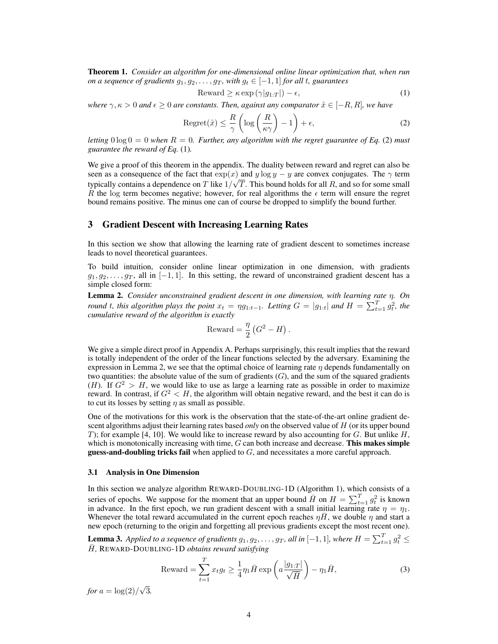Theorem 1. *Consider an algorithm for one-dimensional online linear optimization that, when run on a sequence of gradients*  $g_1, g_2, \ldots, g_T$ *, with*  $g_t \in [-1, 1]$  *for all t, guarantees* 

$$
\text{Reward} \ge \kappa \exp\left(\gamma|g_{1:T}\right|) - \epsilon,\tag{1}
$$

*where*  $\gamma$ ,  $\kappa > 0$  *and*  $\epsilon \geq 0$  *are constants. Then, against any comparator*  $\mathring{x} \in [-R, R]$ *, we have* 

$$
Regret(\mathring{x}) \le \frac{R}{\gamma} \left( \log \left( \frac{R}{\kappa \gamma} \right) - 1 \right) + \epsilon,\tag{2}
$$

*letting*  $0 \log 0 = 0$  *when*  $R = 0$ *. Further, any algorithm with the regret guarantee of Eq.* (2) *must guarantee the reward of Eq.* (1)*.*

We give a proof of this theorem in the appendix. The duality between reward and regret can also be seen as a consequence of the fact that  $exp(x)$  and y log y – y are convex conjugates. The  $\gamma$  term typically contains a dependence on T like  $1/\sqrt{T}$ . This bound holds for all R, and so for some small R the log term becomes negative; however, for real algorithms the  $\epsilon$  term will ensure the regret bound remains positive. The minus one can of course be dropped to simplify the bound further.

#### 3 Gradient Descent with Increasing Learning Rates

In this section we show that allowing the learning rate of gradient descent to sometimes increase leads to novel theoretical guarantees.

To build intuition, consider online linear optimization in one dimension, with gradients  $g_1, g_2, \ldots, g_T$ , all in [−1, 1]. In this setting, the reward of unconstrained gradient descent has a simple closed form:

Lemma 2. *Consider unconstrained gradient descent in one dimension, with learning rate* η*. On round* t, this algorithm plays the point  $x_t = \eta g_{1:t-1}$ . Letting  $G = |g_{1:t}|$  and  $H = \sum_{t=1}^{T} g_t^2$ , the *cumulative reward of the algorithm is exactly*

$$
Reward = \frac{\eta}{2} (G^2 - H).
$$

We give a simple direct proof in Appendix A. Perhaps surprisingly, this result implies that the reward is totally independent of the order of the linear functions selected by the adversary. Examining the expression in Lemma 2, we see that the optimal choice of learning rate  $\eta$  depends fundamentally on two quantities: the absolute value of the sum of gradients  $(G)$ , and the sum of the squared gradients (H). If  $G^2 > H$ , we would like to use as large a learning rate as possible in order to maximize reward. In contrast, if  $G^2 < H$ , the algorithm will obtain negative reward, and the best it can do is to cut its losses by setting  $\eta$  as small as possible.

One of the motivations for this work is the observation that the state-of-the-art online gradient descent algorithms adjust their learning rates based *only* on the observed value of H (or its upper bound T); for example [4, 10]. We would like to increase reward by also accounting for G. But unlike  $H$ , which is monotonically increasing with time,  $G$  can both increase and decrease. This makes simple **guess-and-doubling tricks fail** when applied to  $G$ , and necessitates a more careful approach.

#### 3.1 Analysis in One Dimension

In this section we analyze algorithm REWARD-DOUBLING-1D (Algorithm 1), which consists of a series of epochs. We suppose for the moment that an upper bound  $\bar{H}$  on  $H = \sum_{t=1}^{T} g_t^2$  is known in advance. In the first epoch, we run gradient descent with a small initial learning rate  $\eta = \eta_1$ . Whenever the total reward accumulated in the current epoch reaches  $\eta H$ , we double  $\eta$  and start a new epoch (returning to the origin and forgetting all previous gradients except the most recent one).

**Lemma 3.** Applied to a sequence of gradients  $g_1, g_2, \ldots, g_T$ , all in  $[-1, 1]$ , where  $H = \sum_{t=1}^{T} g_t^2 \leq$  $\bar{H}$ , REWARD-DOUBLING-1D *obtains reward satisfying* 

$$
\text{Reward} = \sum_{t=1}^{T} x_t g_t \ge \frac{1}{4} \eta_1 \bar{H} \exp\left(a \frac{|g_{1:T}|}{\sqrt{\bar{H}}}\right) - \eta_1 \bar{H},\tag{3}
$$

*for*  $a = \log(2)$ √ 3*.*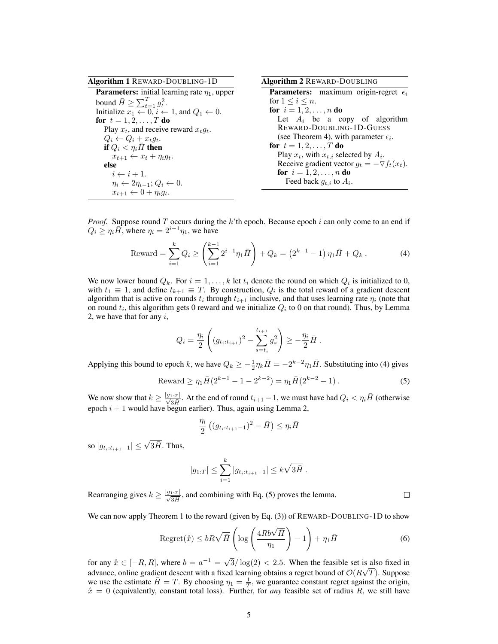| <b>Algorithm 1 REWARD-DOUBLING-1D</b>                                       | <b>Algorithm 2 REWARD-DOUBLING</b>                    |
|-----------------------------------------------------------------------------|-------------------------------------------------------|
| <b>Parameters:</b> initial learning rate $\eta_1$ , upper                   | <b>Parameters:</b> maximum origin-regret $\epsilon_i$ |
| bound $\bar{H} \geq \sum_{t=1}^{T} g_t^2$ .                                 | for $1 \leq i \leq n$ .                               |
| Initialize $x_1 \leftarrow 0$ , $i \leftarrow 1$ , and $Q_1 \leftarrow 0$ . | <b>for</b> $i = 1, 2, , n$ <b>do</b>                  |
| <b>for</b> $t = 1, 2, , T$ <b>do</b>                                        | Let $A_i$ be a copy of algorithm                      |
| Play $x_t$ , and receive reward $x_t q_t$ .                                 | REWARD-DOUBLING-1D-GUESS                              |
| $Q_i \leftarrow Q_i + x_t q_t.$                                             | (see Theorem 4), with parameter $\epsilon_i$ .        |
| if $Q_i < \eta_i H$ then                                                    | for $t = 1, 2, , T$ do                                |
| $x_{t+1} \leftarrow x_t + \eta_i q_t.$                                      | Play $x_t$ , with $x_{t,i}$ selected by $A_i$ .       |
| else                                                                        | Receive gradient vector $g_t = -\nabla f_t(x_t)$ .    |
| $i \leftarrow i+1$ .                                                        | <b>for</b> $i = 1, 2, , n$ <b>do</b>                  |
| $\eta_i \leftarrow 2\eta_{i-1}; Q_i \leftarrow 0.$                          | Feed back $g_{t,i}$ to $A_i$ .                        |
| $x_{t+1} \leftarrow 0 + \eta_i g_t.$                                        |                                                       |

*Proof.* Suppose round  $T$  occurs during the  $k$ 'th epoch. Because epoch  $i$  can only come to an end if  $Q_i \geq \eta_i \overline{H}$ , where  $\eta_i = 2^{i-1}\eta_1$ , we have

$$
\text{Reward} = \sum_{i=1}^{k} Q_i \ge \left(\sum_{i=1}^{k-1} 2^{i-1} \eta_1 \bar{H}\right) + Q_k = \left(2^{k-1} - 1\right) \eta_1 \bar{H} + Q_k \,. \tag{4}
$$

We now lower bound  $Q_k$ . For  $i = 1, ..., k$  let  $t_i$  denote the round on which  $Q_i$  is initialized to 0, with  $t_1 \equiv 1$ , and define  $t_{k+1} \equiv T$ . By construction,  $Q_i$  is the total reward of a gradient descent algorithm that is active on rounds  $t_i$  through  $t_{i+1}$  inclusive, and that uses learning rate  $\eta_i$  (note that on round  $t_i$ , this algorithm gets 0 reward and we initialize  $Q_i$  to 0 on that round). Thus, by Lemma 2, we have that for any  $i$ ,

$$
Q_i = \frac{\eta_i}{2} \left( (g_{t_i:t_{i+1}})^2 - \sum_{s=t_i}^{t_{i+1}} g_s^2 \right) \geq -\frac{\eta_i}{2} \bar{H}.
$$

Applying this bound to epoch k, we have  $Q_k \ge -\frac{1}{2}\eta_k \bar{H} = -2^{k-2}\eta_1 \bar{H}$ . Substituting into (4) gives

$$
\text{Reward} \ge \eta_1 \bar{H} (2^{k-1} - 1 - 2^{k-2}) = \eta_1 \bar{H} (2^{k-2} - 1) \,. \tag{5}
$$

We now show that  $k \ge \frac{|g_1|}{\sqrt{3H}}$ . At the end of round  $t_{i+1} - 1$ , we must have had  $Q_i < \eta_i \bar{H}$  (otherwise epoch  $i + 1$  would have begun earlier). Thus, again using Lemma 2,

$$
\frac{\eta_i}{2}\left((g_{t_i:t_{i+1}-1})^2 - \bar{H}\right) \le \eta_i \bar{H}
$$

so  $|g_{t_i:t_{i+1}-1}| \leq \sqrt{3\bar{H}}$ . Thus,

$$
|g_{1:T}| \leq \sum_{i=1}^k |g_{t_i:t_{i+1}-1}| \leq k\sqrt{3\bar{H}}.
$$

Rearranging gives  $k \geq \frac{|g_{1:T}|}{\sqrt{3H}}$ , and combining with Eq. (5) proves the lemma.

We can now apply Theorem 1 to the reward (given by Eq. (3)) of REWARD-DOUBLING-1D to show

$$
\text{Regret}(\mathring{x}) \le bR\sqrt{\bar{H}} \left( \log \left( \frac{4Rb\sqrt{\bar{H}}}{\eta_1} \right) - 1 \right) + \eta_1 \bar{H} \tag{6}
$$

 $\Box$ 

for any  $\mathring{x} \in [-R, R]$ , where  $b = a^{-1} = \sqrt{ }$  $3/\log(2) < 2.5$ . When the feasible set is also fixed in advance, online gradient descent with a fixed learning obtains a regret bound of  $\mathcal{O}(R)$ √ T). Suppose we use the estimate  $\bar{H} = T$ . By choosing  $\eta_1 = \frac{1}{T}$ , we guarantee constant regret against the origin,  $\mathring{x} = 0$  (equivalently, constant total loss). Further, for *any* feasible set of radius R, we still have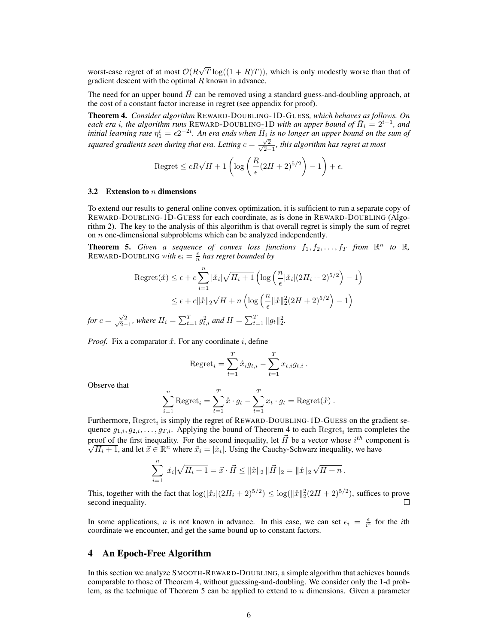worst-case regret of at most  $\mathcal{O}(R)$ √  $T \log((1 + R)T)$ , which is only modestly worse than that of gradient descent with the optimal  $R$  known in advance.

The need for an upper bound  $H$  can be removed using a standard guess-and-doubling approach, at the cost of a constant factor increase in regret (see appendix for proof).

Theorem 4. *Consider algorithm* REWARD-DOUBLING-1D-GUESS*, which behaves as follows. On*  $e$ *ach era i, the algorithm runs* REWARD-DOUBLING-1D *with an upper bound of*  $\bar{H}_i = 2^{i-1}$ , and initial learning rate  $\eta_1^i = \epsilon 2^{-2i}$ . An era ends when  $\bar{H}_i$  is no longer an upper bound on the sum of *squared gradients seen during that era. Letting*  $c = \frac{\sqrt{2}}{\sqrt{2}}$ 2−1 *, this algorithm has regret at most*

Regret 
$$
\leq cR\sqrt{H+1}\left(\log\left(\frac{R}{\epsilon}(2H+2)^{5/2}\right)-1\right)+\epsilon.
$$

#### 3.2 Extension to  $n$  dimensions

To extend our results to general online convex optimization, it is sufficient to run a separate copy of REWARD-DOUBLING-1D-GUESS for each coordinate, as is done in REWARD-DOUBLING (Algorithm 2). The key to the analysis of this algorithm is that overall regret is simply the sum of regret on  $n$  one-dimensional subproblems which can be analyzed independently.

**Theorem 5.** Given a sequence of convex loss functions  $f_1, f_2, \ldots, f_T$  from  $\mathbb{R}^n$  to  $\mathbb{R}$ , REWARD-DOUBLING with  $\epsilon_i = \frac{\epsilon}{n}$  has regret bounded by

$$
\text{Regret}(\mathring{x}) \le \epsilon + c \sum_{i=1}^{n} |\mathring{x}_i| \sqrt{H_i + 1} \left( \log \left( \frac{n}{\epsilon} |\mathring{x}_i| (2H_i + 2)^{5/2} \right) - 1 \right)
$$
  

$$
\le \epsilon + c ||\mathring{x}||_2 \sqrt{H + n} \left( \log \left( \frac{n}{\epsilon} ||\mathring{x}||_2^2 (2H + 2)^{5/2} \right) - 1 \right)
$$
  
for  $c = \frac{\sqrt{2}}{\sqrt{2} - 1}$ , where  $H_i = \sum_{t=1}^{T} g_{t,i}^2$  and  $H = \sum_{t=1}^{T} ||g_t||_2^2$ .

*Proof.* Fix a comparator  $\dot{x}$ . For any coordinate i, define

Regret<sub>i</sub> = 
$$
\sum_{t=1}^{T} \dot{x}_i g_{t,i} - \sum_{t=1}^{T} x_{t,i} g_{t,i}
$$
.

Observe that

$$
\sum_{i=1}^{n} \text{Regret}_{i} = \sum_{t=1}^{T} \mathring{x} \cdot g_{t} - \sum_{t=1}^{T} x_{t} \cdot g_{t} = \text{Regret}(\mathring{x}) .
$$

Furthermore,  $\text{Regret}_i$  is simply the regret of REWARD-DOUBLING-1D-GUESS on the gradient sequence  $g_{1,i}, g_{2,i}, \ldots, g_{T,i}$ . Applying the bound of Theorem 4 to each  $\text{Regret}_i$  term completes the proof of the first inequality. For the second inequality, let  $\vec{H}$  be a vector whose  $i^{th}$  component is  $\overline{H_i+1}$ , and let  $\vec{x} \in \mathbb{R}^n$  where  $\vec{x}_i = |\dot{x}_i|$ . Using the Cauchy-Schwarz inequality, we have

$$
\sum_{i=1}^n |\mathring{x}_i| \sqrt{H_i+1} = \vec{x} \cdot \vec{H} \le ||\mathring{x}||_2 ||\vec{H}||_2 = ||\mathring{x}||_2 \sqrt{H+n} .
$$

This, together with the fact that  $\log(|\mathring{x}_i|(2H_i+2)^{5/2}) \leq \log(||\mathring{x}||_2^2(2H+2)^{5/2})$ , suffices to prove second inequality.  $\Box$ 

In some applications, *n* is not known in advance. In this case, we can set  $\epsilon_i = \frac{\epsilon}{i^2}$  for the *i*th coordinate we encounter, and get the same bound up to constant factors.

## 4 An Epoch-Free Algorithm

In this section we analyze SMOOTH-REWARD-DOUBLING, a simple algorithm that achieves bounds comparable to those of Theorem 4, without guessing-and-doubling. We consider only the 1-d problem, as the technique of Theorem 5 can be applied to extend to n dimensions. Given a parameter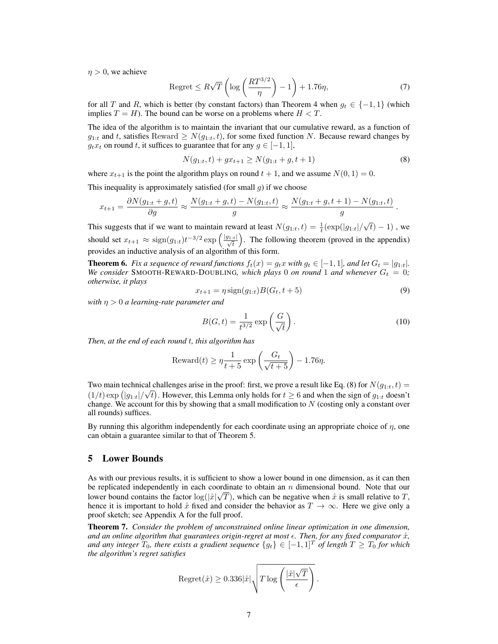$\eta > 0$ , we achieve

$$
\text{Regret} \leq R\sqrt{T}\left(\log\left(\frac{RT^{3/2}}{\eta}\right) - 1\right) + 1.76\eta,\tag{7}
$$

for all T and R, which is better (by constant factors) than Theorem 4 when  $g_t \in \{-1,1\}$  (which implies  $T = H$ ). The bound can be worse on a problems where  $H < T$ .

The idea of the algorithm is to maintain the invariant that our cumulative reward, as a function of  $g_{1:t}$  and t, satisfies Reward  $\geq N(g_{1:t}, t)$ , for some fixed function N. Because reward changes by  $q_t x_t$  on round t, it suffices to guarantee that for any  $q \in [-1, 1]$ ,

$$
N(g_{1:t}, t) + gx_{t+1} \ge N(g_{1:t} + g, t + 1)
$$
\n(8)

where  $x_{t+1}$  is the point the algorithm plays on round  $t + 1$ , and we assume  $N(0, 1) = 0$ .

This inequality is approximately satisfied (for small  $q$ ) if we choose

$$
x_{t+1} = \frac{\partial N(g_{1:t} + g, t)}{\partial g} \approx \frac{N(g_{1:t} + g, t) - N(g_{1:t}, t)}{g} \approx \frac{N(g_{1:t} + g, t + 1) - N(g_{1:t}, t)}{g}.
$$

This suggests that if we want to maintain reward at least  $N(g_{1:t}, t) = \frac{1}{t} (\exp(|g_{1:t}|/$ √  $\overline{t})-1)$  , we should set  $x_{t+1} \approx \text{sign}(g_{1:t})t^{-3/2} \exp\left(\frac{|g_{1:t}|}{\sqrt{t}}\right)$ . The following theorem (proved in the appendix) provides an inductive analysis of an algorithm of this form.

**Theorem 6.** *Fix a sequence of reward functions*  $f_t(x) = g_t x$  *with*  $g_t \in [-1, 1]$ *, and let*  $G_t = |g_{1:t}|$ *. We consider* SMOOTH-REWARD-DOUBLING, which plays 0 *on round* 1 *and whenever*  $G_t = 0$ ; *otherwise, it plays*

$$
x_{t+1} = \eta \text{sign}(g_{1:t}) B(G_t, t+5)
$$
\n(9)

*with* η > 0 *a learning-rate parameter and*

$$
B(G,t) = \frac{1}{t^{3/2}} \exp\left(\frac{G}{\sqrt{t}}\right). \tag{10}
$$

*Then, at the end of each round* t*, this algorithm has*

$$
\text{Reward}(t) \ge \eta \frac{1}{t+5} \exp\left(\frac{G_t}{\sqrt{t+5}}\right) - 1.76\eta.
$$

Two main technical challenges arise in the proof: first, we prove a result like Eq. (8) for  $N(g_{1:t}, t) = (g(t))$  $(1/t)$  exp  $(|g_{1:t}|/\sqrt{t})$ . However, this Lemma only holds for  $t \ge 6$  and when the sign of  $g_{1:t}$  doesn't change. We account for this by showing that a small modification to  $N$  (costing only a constant over all rounds) suffices.

By running this algorithm independently for each coordinate using an appropriate choice of  $\eta$ , one can obtain a guarantee similar to that of Theorem 5.

#### 5 Lower Bounds

As with our previous results, it is sufficient to show a lower bound in one dimension, as it can then be replicated independently in each coordinate to obtain an n dimensional bound. Note that our lower bound contains the factor  $\log(|\mathring{x}|\sqrt{T})$ , which can be negative when  $\mathring{x}$  is small relative to T, hence it is important to hold  $\hat{x}$  fixed and consider the behavior as  $T \to \infty$ . Here we give only a proof sketch; see Appendix A for the full proof.

Theorem 7. *Consider the problem of unconstrained online linear optimization in one dimension, and an online algorithm that guarantees origin-regret at most*  $\epsilon$ *. Then, for any fixed comparator*  $\hat{x}$ *, and any integer*  $T_0$ , there exists a gradient sequence  $\{g_t\} \in [-1,1]^T$  of length  $T \geq T_0$  for which *the algorithm's regret satisfies*

$$
\text{Regret}(\mathring{x}) \geq 0.336 |\mathring{x}| \sqrt{T \log \left( \frac{|\mathring{x}| \sqrt{T}}{\epsilon} \right)} \,.
$$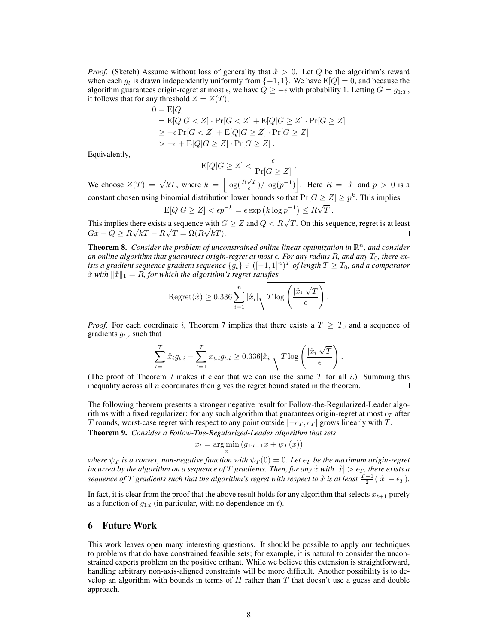*Proof.* (Sketch) Assume without loss of generality that  $\hat{x} > 0$ . Let Q be the algorithm's reward when each  $g_t$  is drawn independently uniformly from  $\{-1, 1\}$ . We have  $E[Q] = 0$ , and because the algorithm guarantees origin-regret at most  $\epsilon$ , we have  $Q \ge -\epsilon$  with probability 1. Letting  $G = g_{1:T}$ , it follows that for any threshold  $Z = Z(T)$ ,

$$
0 = E[Q]
$$
  
= E[Q|G < Z] \cdot Pr[G < Z] + E[Q|G \ge Z] \cdot Pr[G \ge Z]  
\ge -\epsilon Pr[G < Z] + E[Q|G \ge Z] \cdot Pr[G \ge Z]  
> -\epsilon + E[Q|G \ge Z] \cdot Pr[G \ge Z].

Equivalently,

$$
\mathrm{E}[Q|G\geq Z] < \frac{\epsilon}{\Pr[G\geq Z]} \, .
$$

We choose  $Z(T) = \sqrt{kT}$ , where  $k = \left| \log(\frac{R\sqrt{T}}{\epsilon})/ \log(p^{-1}) \right|$ . Here  $R = |\hat{x}|$  and  $p > 0$  is a constant chosen using binomial distribution lower bounds so that  $Pr[G \geq Z] \geq p^k$ . This implies

$$
E[Q|G \ge Z] < \epsilon p^{-k} = \epsilon \exp\left(k \log p^{-1}\right) \le R\sqrt{T} \,.
$$

This implies there exists a sequence with  $G \ge Z$  and  $Q < R\sqrt{T}$ . On this sequence, regret is at least  $G\mathring{x} - Q \geq R\sqrt{kT} - R\sqrt{T} = \Omega(R\sqrt{kT}).$ П

**Theorem 8.** Consider the problem of unconstrained online linear optimization in  $\mathbb{R}^n$ , and consider an online algorithm that guarantees origin-regret at most  $\epsilon$ . For any radius R, and any  $T_0$ , there exists a gradient sequence gradient sequence  $\{g_t\} \in ([-1,1]^n)^T$  of length  $T \geq T_0$ , and a comparator  $\hat{x}$  with  $\|\hat{x}\|_1 = R$ , for which the algorithm's regret satisfies

$$
\text{Regret}(\mathring{x}) \geq 0.336 \sum_{i=1}^{n} |\mathring{x}_i| \sqrt{T \log \left( \frac{|\mathring{x}_i| \sqrt{T}}{\epsilon} \right)}.
$$

*Proof.* For each coordinate i, Theorem 7 implies that there exists a  $T \geq T_0$  and a sequence of gradients  $g_{t,i}$  such that

$$
\sum_{t=1}^{T} \mathring{x}_i g_{t,i} - \sum_{t=1}^{T} x_{t,i} g_{t,i} \geq 0.336 |\mathring{x}_i| \sqrt{T \log \left( \frac{|\mathring{x}_i| \sqrt{T}}{\epsilon} \right)}.
$$

(The proof of Theorem 7 makes it clear that we can use the same  $T$  for all i.) Summing this inequality across all  $n$  coordinates then gives the regret bound stated in the theorem. П

The following theorem presents a stronger negative result for Follow-the-Regularized-Leader algorithms with a fixed regularizer: for any such algorithm that guarantees origin-regret at most  $\epsilon_T$  after T rounds, worst-case regret with respect to any point outside  $[-\epsilon_T, \epsilon_T]$  grows linearly with T.

Theorem 9. *Consider a Follow-The-Regularized-Leader algorithm that sets*

$$
x_t = \argmin_x (g_{1:t-1}x + \psi_T(x))
$$

*where*  $\psi_T$  *is a convex, non-negative function with*  $\psi_T(0) = 0$ *. Let*  $\epsilon_T$  *be the maximum origin-regret incurred by the algorithm on a sequence of*  $T$  *gradients. Then, for any*  $\hat{x}$  *with*  $|\hat{x}| > \epsilon_T$ *, there exists a sequence of*  $T$  *gradients such that the algorithm's regret with respect to*  $\mathring{x}$  *is at least*  $\frac{T-1}{2}(|\mathring{x}| - \epsilon_T)$ .

In fact, it is clear from the proof that the above result holds for any algorithm that selects  $x_{t+1}$  purely as a function of  $g_{1:t}$  (in particular, with no dependence on t).

### 6 Future Work

This work leaves open many interesting questions. It should be possible to apply our techniques to problems that do have constrained feasible sets; for example, it is natural to consider the unconstrained experts problem on the positive orthant. While we believe this extension is straightforward, handling arbitrary non-axis-aligned constraints will be more difficult. Another possibility is to develop an algorithm with bounds in terms of  $H$  rather than  $T$  that doesn't use a guess and double approach.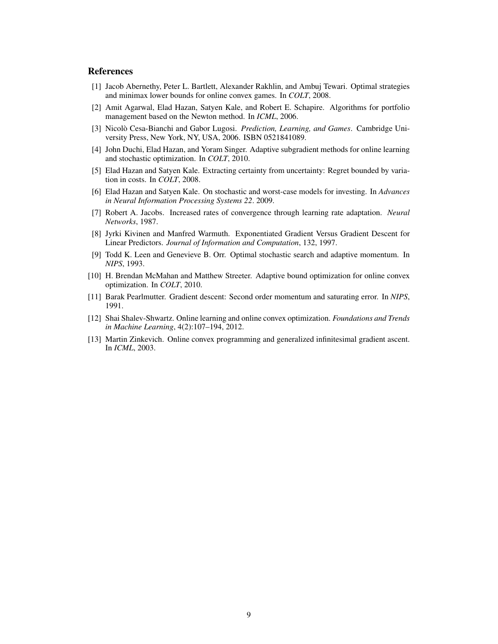## **References**

- [1] Jacob Abernethy, Peter L. Bartlett, Alexander Rakhlin, and Ambuj Tewari. Optimal strategies and minimax lower bounds for online convex games. In *COLT*, 2008.
- [2] Amit Agarwal, Elad Hazan, Satyen Kale, and Robert E. Schapire. Algorithms for portfolio management based on the Newton method. In *ICML*, 2006.
- [3] Nicolò Cesa-Bianchi and Gabor Lugosi. *Prediction, Learning, and Games*. Cambridge University Press, New York, NY, USA, 2006. ISBN 0521841089.
- [4] John Duchi, Elad Hazan, and Yoram Singer. Adaptive subgradient methods for online learning and stochastic optimization. In *COLT*, 2010.
- [5] Elad Hazan and Satyen Kale. Extracting certainty from uncertainty: Regret bounded by variation in costs. In *COLT*, 2008.
- [6] Elad Hazan and Satyen Kale. On stochastic and worst-case models for investing. In *Advances in Neural Information Processing Systems 22*. 2009.
- [7] Robert A. Jacobs. Increased rates of convergence through learning rate adaptation. *Neural Networks*, 1987.
- [8] Jyrki Kivinen and Manfred Warmuth. Exponentiated Gradient Versus Gradient Descent for Linear Predictors. *Journal of Information and Computation*, 132, 1997.
- [9] Todd K. Leen and Genevieve B. Orr. Optimal stochastic search and adaptive momentum. In *NIPS*, 1993.
- [10] H. Brendan McMahan and Matthew Streeter. Adaptive bound optimization for online convex optimization. In *COLT*, 2010.
- [11] Barak Pearlmutter. Gradient descent: Second order momentum and saturating error. In *NIPS*, 1991.
- [12] Shai Shalev-Shwartz. Online learning and online convex optimization. *Foundations and Trends in Machine Learning*, 4(2):107–194, 2012.
- [13] Martin Zinkevich. Online convex programming and generalized infinitesimal gradient ascent. In *ICML*, 2003.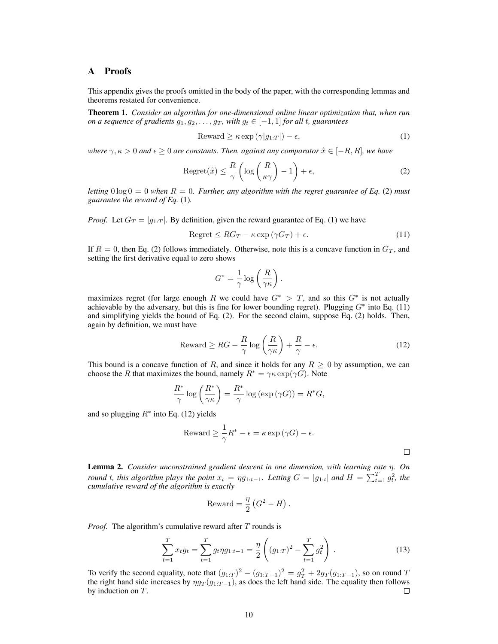## A Proofs

This appendix gives the proofs omitted in the body of the paper, with the corresponding lemmas and theorems restated for convenience.

Theorem 1. *Consider an algorithm for one-dimensional online linear optimization that, when run on a sequence of gradients*  $q_1, q_2, \ldots, q_T$ *, with*  $q_t \in [-1, 1]$  *for all t, guarantees* 

$$
Reward \ge \kappa \exp\left(\gamma|g_{1:T}|\right) - \epsilon,\tag{1}
$$

*where*  $\gamma, \kappa > 0$  *and*  $\epsilon \geq 0$  *are constants. Then, against any comparator*  $\mathring{x} \in [-R, R]$ *, we have* 

$$
Regret(\mathring{x}) \le \frac{R}{\gamma} \left( \log \left( \frac{R}{\kappa \gamma} \right) - 1 \right) + \epsilon,\tag{2}
$$

*letting*  $0 \log 0 = 0$  *when*  $R = 0$ *. Further, any algorithm with the regret guarantee of Eq.* (2) *must guarantee the reward of Eq.* (1)*.*

*Proof.* Let  $G_T = |g_{1:T}|$ . By definition, given the reward guarantee of Eq. (1) we have

$$
Regret \le RG_T - \kappa \exp\left(\gamma G_T\right) + \epsilon. \tag{11}
$$

If  $R = 0$ , then Eq. (2) follows immediately. Otherwise, note this is a concave function in  $G_T$ , and setting the first derivative equal to zero shows

$$
G^* = \frac{1}{\gamma} \log \left( \frac{R}{\gamma \kappa} \right).
$$

maximizes regret (for large enough R we could have  $G^* > T$ , and so this  $G^*$  is not actually achievable by the adversary, but this is fine for lower bounding regret). Plugging  $G^*$  into Eq. (11) and simplifying yields the bound of Eq. (2). For the second claim, suppose Eq. (2) holds. Then, again by definition, we must have

$$
\text{Reward} \ge RG - \frac{R}{\gamma} \log \left( \frac{R}{\gamma \kappa} \right) + \frac{R}{\gamma} - \epsilon. \tag{12}
$$

This bound is a concave function of R, and since it holds for any  $R \geq 0$  by assumption, we can choose the R that maximizes the bound, namely  $R^* = \gamma \kappa \exp(\gamma G)$ . Note

$$
\frac{R^*}{\gamma} \log \left( \frac{R^*}{\gamma \kappa} \right) = \frac{R^*}{\gamma} \log \left( \exp \left( \gamma G \right) \right) = R^* G,
$$

and so plugging  $R^*$  into Eq. (12) yields

$$
{\rm Reward} \ge \frac{1}{\gamma} R^* - \epsilon = \kappa \exp(\gamma G) - \epsilon.
$$

 $\Box$ 

Lemma 2. *Consider unconstrained gradient descent in one dimension, with learning rate* η*. On round* t, this algorithm plays the point  $x_t = \eta g_{1:t-1}$ . Letting  $G = |g_{1:t}|$  and  $H = \sum_{t=1}^{T} g_t^2$ , the *cumulative reward of the algorithm is exactly*

$$
Reward = \frac{\eta}{2} (G^2 - H).
$$

*Proof.* The algorithm's cumulative reward after T rounds is

$$
\sum_{t=1}^{T} x_t g_t = \sum_{t=1}^{T} g_t \eta g_{1:t-1} = \frac{\eta}{2} \left( (g_{1:T})^2 - \sum_{t=1}^{T} g_t^2 \right) . \tag{13}
$$

To verify the second equality, note that  $(g_{1:T})^2 - (g_{1:T-1})^2 = g_T^2 + 2g_T(g_{1:T-1})$ , so on round T the right hand side increases by  $\eta g_T(g_{1:T-1})$ , as does the left hand side. The equality then follows by induction on T. □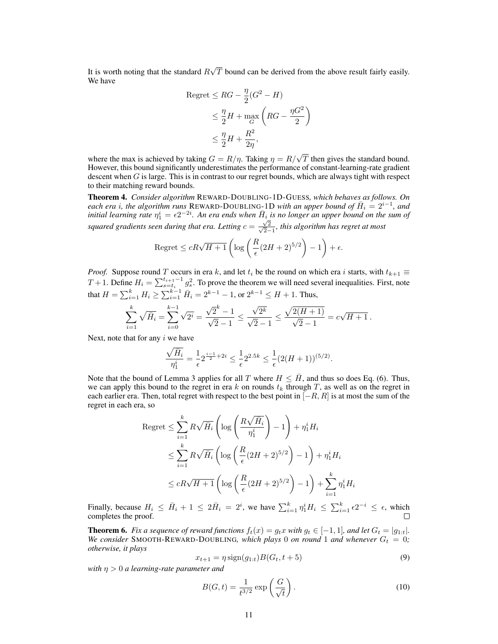It is worth noting that the standard  $R$ √ T bound can be derived from the above result fairly easily. We have

$$
Regret \le RG - \frac{\eta}{2}(G^2 - H)
$$
  
\n
$$
\le \frac{\eta}{2}H + \max_{G} \left( RG - \frac{\eta G^2}{2} \right)
$$
  
\n
$$
\le \frac{\eta}{2}H + \frac{R^2}{2\eta},
$$

where the max is achieved by taking  $G = R/\eta$ . Taking  $\eta = R/\sqrt{T}$  then gives the standard bound. However, this bound significantly underestimates the performance of constant-learning-rate gradient descent when  $G$  is large. This is in contrast to our regret bounds, which are always tight with respect to their matching reward bounds.

Theorem 4. *Consider algorithm* REWARD-DOUBLING-1D-GUESS*, which behaves as follows. On*  $e$ *ach era i, the algorithm runs* REWARD-DOUBLING-1D *with an upper bound of*  $\bar{H}_i = 2^{i-1}$ , and initial learning rate  $\eta_1^i = \epsilon 2^{-2i}$ . An era ends when  $\bar{H}_i$  is no longer an upper bound on the sum of *squared gradients seen during that era. Letting*  $c = \frac{\sqrt{2}}{\sqrt{2}}$ 2−1 *, this algorithm has regret at most*

$$
\text{Regret} \le cR\sqrt{H+1}\left(\log\left(\frac{R}{\epsilon}(2H+2)^{5/2}\right) - 1\right) + \epsilon.
$$

*Proof.* Suppose round T occurs in era k, and let  $t_i$  be the round on which era i starts, with  $t_{k+1} \equiv$ T + 1. Define  $H_i = \sum_{s=t_i}^{t_{i+1}-1} g_s^2$ . To prove the theorem we will need several inequalities. First, note that  $H = \sum_{i=1}^{k} H_i \ge \sum_{i=1}^{k-1} \bar{H}_i = 2^{k-1} - 1$ , or  $2^{k-1} \le H + 1$ . Thus,

$$
\sum_{i=1}^k \sqrt{\bar{H}_i} = \sum_{i=0}^{k-1} \sqrt{2^i} = \frac{\sqrt{2}^k - 1}{\sqrt{2} - 1} \le \frac{\sqrt{2^k}}{\sqrt{2} - 1} \le \frac{\sqrt{2(H+1)}}{\sqrt{2} - 1} = c\sqrt{H+1}.
$$

Next, note that for any  $i$  we have

$$
\frac{\sqrt{\bar{H}_i}}{\eta_1^i} = \frac{1}{\epsilon} 2^{\frac{i-1}{2} + 2i} \le \frac{1}{\epsilon} 2^{2.5k} \le \frac{1}{\epsilon} (2(H+1))^{(5/2)}.
$$

Note that the bound of Lemma 3 applies for all T where  $H \leq H$ , and thus so does Eq. (6). Thus, we can apply this bound to the regret in era k on rounds  $t_k$  through T, as well as on the regret in each earlier era. Then, total regret with respect to the best point in  $[-R, R]$  is at most the sum of the regret in each era, so

$$
\begin{aligned} \text{Regret} &\leq \sum_{i=1}^{k} R\sqrt{\bar{H}_{i}} \left( \log \left( \frac{R\sqrt{\bar{H}_{i}}}{\eta_{1}^{i}} \right) - 1 \right) + \eta_{1}^{i} H_{i} \\ &\leq \sum_{i=1}^{k} R\sqrt{\bar{H}_{i}} \left( \log \left( \frac{R}{\epsilon} (2H + 2)^{5/2} \right) - 1 \right) + \eta_{1}^{i} H_{i} \\ &\leq cR\sqrt{H + 1} \left( \log \left( \frac{R}{\epsilon} (2H + 2)^{5/2} \right) - 1 \right) + \sum_{i=1}^{k} \eta_{1}^{i} H_{i} \end{aligned}
$$

Finally, because  $H_i \leq \bar{H}_i + 1 \leq 2\bar{H}_i = 2^i$ , we have  $\sum_{i=1}^k \eta_1^i H_i \leq \sum_{i=1}^k \epsilon 2^{-i} \leq \epsilon$ , which completes the proof.

**Theorem 6.** *Fix a sequence of reward functions*  $f_t(x) = g_t x$  *with*  $g_t \in [-1, 1]$ *, and let*  $G_t = |g_{1:t}|$ *. We consider* SMOOTH-REWARD-DOUBLING, which plays 0 *on round* 1 *and whenever*  $G_t = 0$ ; *otherwise, it plays*

$$
x_{t+1} = \eta \text{sign}(g_{1:t}) B(G_t, t+5)
$$
\n(9)

*with* η > 0 *a learning-rate parameter and*

$$
B(G,t) = \frac{1}{t^{3/2}} \exp\left(\frac{G}{\sqrt{t}}\right). \tag{10}
$$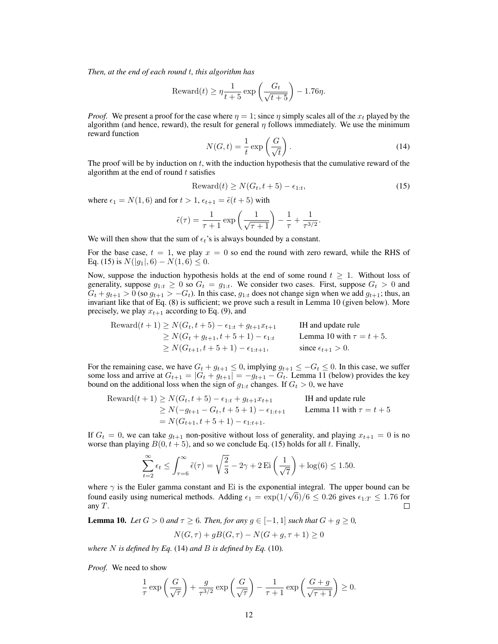*Then, at the end of each round* t*, this algorithm has*

$$
\text{Reward}(t) \ge \eta \frac{1}{t+5} \exp\left(\frac{G_t}{\sqrt{t+5}}\right) - 1.76\eta.
$$

*Proof.* We present a proof for the case where  $\eta = 1$ ; since  $\eta$  simply scales all of the  $x_t$  played by the algorithm (and hence, reward), the result for general  $\eta$  follows immediately. We use the minimum reward function

$$
N(G,t) = \frac{1}{t} \exp\left(\frac{G}{\sqrt{t}}\right). \tag{14}
$$

The proof will be by induction on  $t$ , with the induction hypothesis that the cumulative reward of the algorithm at the end of round  $t$  satisfies

$$
\text{Reward}(t) \ge N(G_t, t+5) - \epsilon_{1:t},\tag{15}
$$

where  $\epsilon_1 = N(1, 6)$  and for  $t > 1$ ,  $\epsilon_{t+1} = \tilde{\epsilon}(t+5)$  with

$$
\tilde{\epsilon}(\tau) = \frac{1}{\tau + 1} \exp\left(\frac{1}{\sqrt{\tau + 1}}\right) - \frac{1}{\tau} + \frac{1}{\tau^{3/2}}.
$$

We will then show that the sum of  $\epsilon_t$ 's is always bounded by a constant.

For the base case,  $t = 1$ , we play  $x = 0$  so end the round with zero reward, while the RHS of Eq. (15) is  $N(|q_1|, 6) - N(1, 6) \leq 0$ .

Now, suppose the induction hypothesis holds at the end of some round  $t \geq 1$ . Without loss of generality, suppose  $g_{1:t} \geq 0$  so  $G_t = g_{1:t}$ . We consider two cases. First, suppose  $G_t > 0$  and  $G_t + g_{t+1} > 0$  (so  $g_{t+1} > -G_t$ ). In this case,  $g_{1:t}$  does not change sign when we add  $g_{t+1}$ ; thus, an invariant like that of Eq. (8) is sufficient; we prove such a result in Lemma 10 (given below). More precisely, we play  $x_{t+1}$  according to Eq. (9), and

\n
$$
\text{Reward}(t+1) \geq N(G_t, t+5) - \epsilon_{1:t} + g_{t+1}x_{t+1}
$$
\n $\text{IH and update rule}$ \n $\geq N(G_t + g_{t+1}, t+5+1) - \epsilon_{1:t}$ \n $\text{Lemma 10 with } \tau = t+5.$ \n $\geq N(G_{t+1}, t+5+1) - \epsilon_{1:t+1},$ \n $\text{since } \epsilon_{t+1} > 0.$ \n

For the remaining case, we have  $G_t + g_{t+1} \leq 0$ , implying  $g_{t+1} \leq -G_t \leq 0$ . In this case, we suffer some loss and arrive at  $G_{t+1} = |G_t + g_{t+1}| = -g_{t+1} - G_t$ . Lemma 11 (below) provides the key bound on the additional loss when the sign of  $g_{1:t}$  changes. If  $G_t > 0$ , we have

\n
$$
\text{Reward}(t+1) \geq N(G_t, t+5) - \epsilon_{1:t} + g_{t+1}x_{t+1}
$$
\n $\text{H and update rule}$ \n $\geq N(-g_{t+1} - G_t, t+5+1) - \epsilon_{1:t+1}$ \n $\text{Lemma 11 with } \tau = t+5$ \n $= N(G_{t+1}, t+5+1) - \epsilon_{1:t+1}.$ \n

If  $G_t = 0$ , we can take  $g_{t+1}$  non-positive without loss of generality, and playing  $x_{t+1} = 0$  is no worse than playing  $B(0, t + 5)$ , and so we conclude Eq. (15) holds for all t. Finally,

$$
\sum_{t=2}^{\infty} \epsilon_t \le \int_{\tau=6}^{\infty} \tilde{\epsilon}(\tau) = \sqrt{\frac{2}{3}} - 2\gamma + 2 \operatorname{Ei}\left(\frac{1}{\sqrt{7}}\right) + \log(6) \le 1.50.
$$

where  $\gamma$  is the Euler gamma constant and Ei is the exponential integral. The upper bound can be found easily using numerical methods. Adding  $\epsilon_1 = \exp(1/\sqrt{6})/6 \le 0.26$  gives  $\epsilon_{1:T} \le 1.76$  for any  $T$ . П

**Lemma 10.** *Let*  $G > 0$  *and*  $\tau \ge 6$ *. Then, for any*  $g \in [-1, 1]$  *such that*  $G + g \ge 0$ *,* 

$$
N(G, \tau) + gB(G, \tau) - N(G + g, \tau + 1) \ge 0
$$

*where* N *is defined by Eq.* (14) *and* B *is defined by Eq.* (10)*.*

*Proof.* We need to show

$$
\frac{1}{\tau} \exp\left(\frac{G}{\sqrt{\tau}}\right) + \frac{g}{\tau^{3/2}} \exp\left(\frac{G}{\sqrt{\tau}}\right) - \frac{1}{\tau+1} \exp\left(\frac{G+g}{\sqrt{\tau+1}}\right) \ge 0.
$$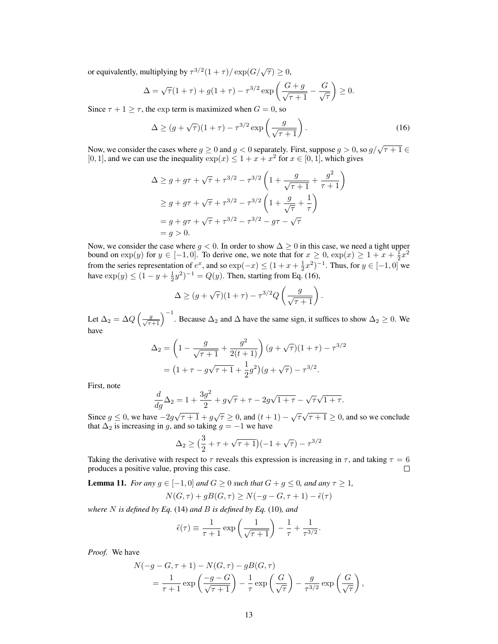or equivalently, multiplying by  $\tau^{3/2}(1+\tau)/\exp(G/\sqrt{\tau}) \ge 0$ ,

$$
\Delta = \sqrt{\tau}(1+\tau) + g(1+\tau) - \tau^{3/2} \exp\left(\frac{G+g}{\sqrt{\tau+1}} - \frac{G}{\sqrt{\tau}}\right) \ge 0.
$$

Since  $\tau + 1 \ge \tau$ , the exp term is maximized when  $G = 0$ , so

$$
\Delta \ge (g + \sqrt{\tau})(1 + \tau) - \tau^{3/2} \exp\left(\frac{g}{\sqrt{\tau + 1}}\right). \tag{16}
$$

Now, we consider the cases where  $g \ge 0$  and  $g < 0$  separately. First, suppose  $g > 0$ , so  $g/\sqrt{\tau + 1} \in$ [0, 1], and we can use the inequality  $\exp(x) \leq 1 + x + x^2$  for  $x \in [0, 1]$ , which gives

$$
\Delta \ge g + g\tau + \sqrt{\tau} + \tau^{3/2} - \tau^{3/2} \left( 1 + \frac{g}{\sqrt{\tau + 1}} + \frac{g^2}{\tau + 1} \right)
$$
  
\n
$$
\ge g + g\tau + \sqrt{\tau} + \tau^{3/2} - \tau^{3/2} \left( 1 + \frac{g}{\sqrt{\tau}} + \frac{1}{\tau} \right)
$$
  
\n
$$
= g + g\tau + \sqrt{\tau} + \tau^{3/2} - \tau^{3/2} - g\tau - \sqrt{\tau}
$$
  
\n
$$
= g > 0.
$$

Now, we consider the case where  $g < 0$ . In order to show  $\Delta \ge 0$  in this case, we need a tight upper bound on  $\exp(y)$  for  $y \in [-1, 0]$ . To derive one, we note that for  $x \ge 0$ ,  $\exp(x) \ge 1 + x + \frac{1}{2}x^2$ from the series representation of  $e^x$ , and so  $\exp(-x) \le (1 + x + \frac{1}{2}x^2)^{-1}$ . Thus, for  $y \in [-1, 0]$  we have  $\exp(y) \le (1 - y + \frac{1}{2}y^2)^{-1} = Q(y)$ . Then, starting from Eq. (16),

$$
\Delta \ge (g + \sqrt{\tau})(1 + \tau) - \tau^{3/2} Q\left(\frac{g}{\sqrt{\tau + 1}}\right).
$$

Let  $\Delta_2 = \Delta Q \left(\frac{g}{\sqrt{\tau+1}}\right)^{-1}$ . Because  $\Delta_2$  and  $\Delta$  have the same sign, it suffices to show  $\Delta_2 \ge 0$ . We have

$$
\Delta_2 = \left(1 - \frac{g}{\sqrt{\tau + 1}} + \frac{g^2}{2(t+1)}\right)(g + \sqrt{\tau})(1+\tau) - \tau^{3/2}
$$

$$
= \left(1 + \tau - g\sqrt{\tau + 1} + \frac{1}{2}g^2\right)(g + \sqrt{\tau}) - \tau^{3/2}.
$$

First, note

$$
\frac{d}{dg}\Delta_2 = 1 + \frac{3g^2}{2} + g\sqrt{\tau} + \tau - 2g\sqrt{1+\tau} - \sqrt{\tau}\sqrt{1+\tau}.
$$

Since  $g \le 0$ , we have  $-2g\sqrt{\tau+1} + g\sqrt{\tau} \ge 0$ , and  $(t+1) - \sqrt{\tau}\sqrt{\tau+1} \ge 0$ , and so we conclude that  $\Delta_2$  is increasing in g, and so taking  $g = -1$  we have

$$
\Delta_2 \ge \big(\frac{3}{2} + \tau + \sqrt{\tau + 1}\big)(-1 + \sqrt{\tau}) - \tau^{3/2}
$$

Taking the derivative with respect to  $\tau$  reveals this expression is increasing in  $\tau$ , and taking  $\tau = 6$  produces a positive value, proving this case. produces a positive value, proving this case.

**Lemma 11.** *For any*  $g \in [-1, 0]$  *and*  $G \ge 0$  *such that*  $G + g \le 0$ *, and any*  $\tau \ge 1$ *,* 

$$
N(G, \tau) + gB(G, \tau) \ge N(-g - G, \tau + 1) - \tilde{\epsilon}(\tau)
$$

*where* N *is defined by Eq.* (14) *and* B *is defined by Eq.* (10)*, and*

$$
\tilde{\epsilon}(\tau) \equiv \frac{1}{\tau + 1} \exp\left(\frac{1}{\sqrt{\tau + 1}}\right) - \frac{1}{\tau} + \frac{1}{\tau^{3/2}}.
$$

*Proof.* We have

$$
N(-g-G, \tau + 1) - N(G, \tau) - gB(G, \tau)
$$
  
=  $\frac{1}{\tau + 1} \exp\left(\frac{-g - G}{\sqrt{\tau + 1}}\right) - \frac{1}{\tau} \exp\left(\frac{G}{\sqrt{\tau}}\right) - \frac{g}{\tau^{3/2}} \exp\left(\frac{G}{\sqrt{\tau}}\right),$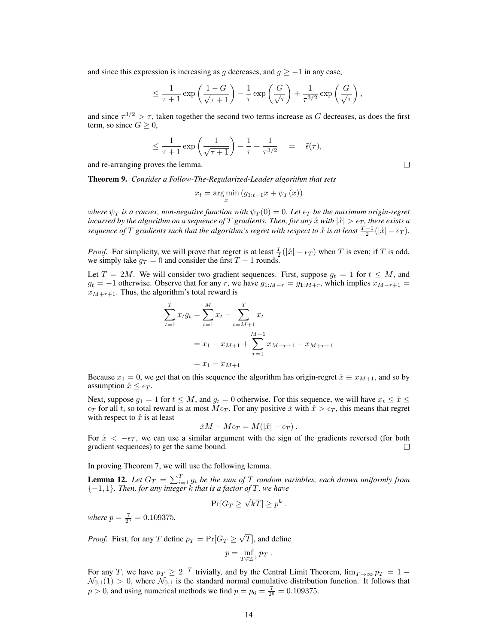and since this expression is increasing as g decreases, and  $q \geq -1$  in any case,

$$
\leq \frac{1}{\tau+1} \exp\left(\frac{1-G}{\sqrt{\tau+1}}\right) - \frac{1}{\tau} \exp\left(\frac{G}{\sqrt{\tau}}\right) + \frac{1}{\tau^{3/2}} \exp\left(\frac{G}{\sqrt{\tau}}\right),
$$

and since  $\tau^{3/2} > \tau$ , taken together the second two terms increase as G decreases, as does the first term, so since  $G \geq 0$ ,

$$
\leq \frac{1}{\tau+1} \exp\left(\frac{1}{\sqrt{\tau+1}}\right) - \frac{1}{\tau} + \frac{1}{\tau^{3/2}} = \tilde{\epsilon}(\tau),
$$

and re-arranging proves the lemma.

Theorem 9. *Consider a Follow-The-Regularized-Leader algorithm that sets*

$$
x_t = \argmin_x (g_{1:t-1}x + \psi_T(x))
$$

*where*  $\psi_T$  *is a convex, non-negative function with*  $\psi_T(0) = 0$ *. Let*  $\epsilon_T$  *be the maximum origin-regret incurred by the algorithm on a sequence of* T *gradients. Then, for any*  $\hat{x}$  *with*  $|\hat{x}| > \epsilon_T$ *, there exists a sequence of*  $T$  *gradients such that the algorithm's regret with respect to*  $\mathring{x}$  *is at least*  $\frac{T-1}{2}(|\mathring{x}| - \epsilon_T)$ .

*Proof.* For simplicity, we will prove that regret is at least  $\frac{T}{2}(|\mathring{x}| - \epsilon_T)$  when T is even; if T is odd, we simply take  $g_T = 0$  and consider the first  $T - 1$  rounds.

Let  $T = 2M$ . We will consider two gradient sequences. First, suppose  $g_t = 1$  for  $t \leq M$ , and  $g_t = -1$  otherwise. Observe that for any r, we have  $g_{1:M-r} = g_{1:M+r}$ , which implies  $x_{M-r+1} =$  $x_{M+r+1}$ . Thus, the algorithm's total reward is

$$
\sum_{t=1}^{T} x_t g_t = \sum_{t=1}^{M} x_t - \sum_{t=M+1}^{T} x_t
$$
  
=  $x_1 - x_{M+1} + \sum_{r=1}^{M-1} x_{M-r+1} - x_{M+r+1}$   
=  $x_1 - x_{M+1}$ 

Because  $x_1 = 0$ , we get that on this sequence the algorithm has origin-regret  $\hat{x} \equiv x_{M+1}$ , and so by assumption  $\hat{x} \leq \epsilon_T$ .

Next, suppose  $g_1 = 1$  for  $t \leq M$ , and  $g_t = 0$  otherwise. For this sequence, we will have  $x_t \leq \hat{x} \leq$  $\epsilon_T$  for all t, so total reward is at most  $M\epsilon_T$ . For any positive  $\dot{x}$  with  $\dot{x} > \epsilon_T$ , this means that regret with respect to  $\hat{x}$  is at least

$$
\mathring{x}M - M\epsilon_T = M(|\mathring{x}| - \epsilon_T).
$$

For  $\hat{x} < -\epsilon_T$ , we can use a similar argument with the sign of the gradients reversed (for both gradient sequences) to get the same bound. gradient sequences) to get the same bound.

In proving Theorem 7, we will use the following lemma.

**Lemma 12.** Let  $G_T = \sum_{i=1}^T g_i$  be the sum of T random variables, each drawn uniformly from {−1, 1}*. Then, for any integer* k *that is a factor of* T*, we have*

$$
\Pr[G_T \ge \sqrt{kT}] \ge p^k.
$$

*where*  $p = \frac{7}{2^6} = 0.109375$ .

*Proof.* First, for any T define  $p_T = \Pr[G_T \geq 0]$ √  $[T]$ , and define

$$
p=\inf_{T\in\mathbb{Z}^+}p_T.
$$

For any T, we have  $p_T \ge 2^{-T}$  trivially, and by the Central Limit Theorem,  $\lim_{T \to \infty} p_T = 1 \mathcal{N}_{0,1}(1) > 0$ , where  $\mathcal{N}_{0,1}$  is the standard normal cumulative distribution function. It follows that  $p > 0$ , and using numerical methods we find  $p = p_6 = \frac{7}{2^6} = 0.109375$ .

 $\Box$